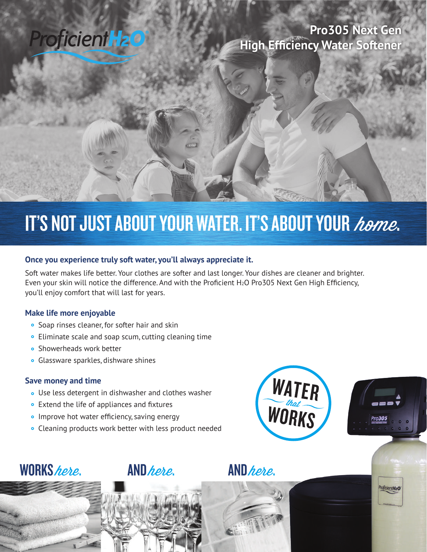# Proficient H<sub>2</sub>O

### **Pro305 Next Gen High Efficiency Water Softener**

## IT'S NOT JUST ABOUT YOUR WATER. IT'S ABOUT YOUR home.

#### **Once you experience truly soft water, you'll always appreciate it.**

Soft water makes life better. Your clothes are softer and last longer. Your dishes are cleaner and brighter. Even your skin will notice the difference. And with the Proficient H<sub>2</sub>O Pro305 Next Gen High Efficiency, you'll enjoy comfort that will last for years.

#### **Make life more enjoyable**

- Soap rinses cleaner, for softer hair and skin
- Eliminate scale and soap scum, cutting cleaning time
- **Showerheads work better**
- Glassware sparkles, dishware shines

#### **Save money and time**

- Use less detergent in dishwasher and clothes washer
- $\circ$  Extend the life of appliances and fixtures
- $\bullet$  Improve hot water efficiency, saving energy
- Cleaning products work better with less product needed





oficientH<sub>2</sub>O